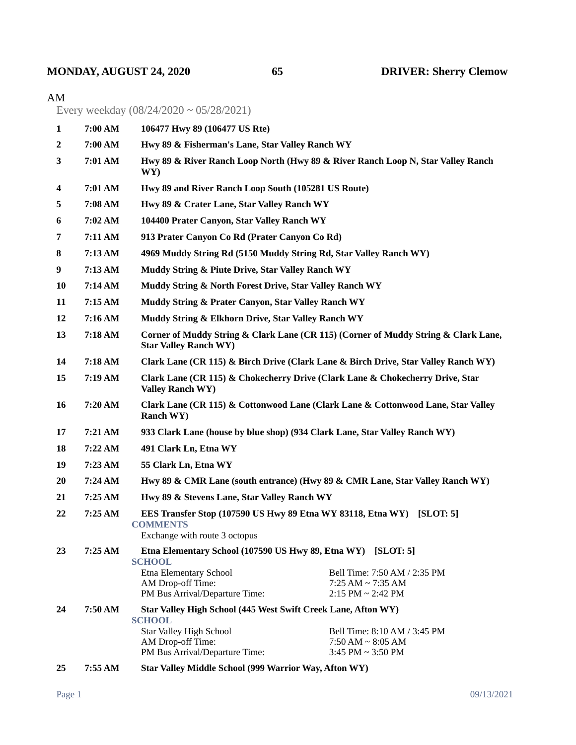## **MONDAY, AUGUST 24, 2020 65 DRIVER: Sherry Clemow**

## AM

Every weekday (08/24/2020 ~ 05/28/2021)

| 1         | 7:00 AM                                                                 | 106477 Hwy 89 (106477 US Rte)                                                                                             |                                                                                 |
|-----------|-------------------------------------------------------------------------|---------------------------------------------------------------------------------------------------------------------------|---------------------------------------------------------------------------------|
| 2         | 7:00 AM                                                                 | Hwy 89 & Fisherman's Lane, Star Valley Ranch WY                                                                           |                                                                                 |
| 3         | 7:01 AM                                                                 | WY)                                                                                                                       | Hwy 89 & River Ranch Loop North (Hwy 89 & River Ranch Loop N, Star Valley Ranch |
| 4         | 7:01 AM                                                                 | Hwy 89 and River Ranch Loop South (105281 US Route)                                                                       |                                                                                 |
| 5         | 7:08 AM                                                                 | Hwy 89 & Crater Lane, Star Valley Ranch WY                                                                                |                                                                                 |
| 6         | 7:02 AM                                                                 | 104400 Prater Canyon, Star Valley Ranch WY                                                                                |                                                                                 |
| 7         | 7:11 AM                                                                 | 913 Prater Canyon Co Rd (Prater Canyon Co Rd)                                                                             |                                                                                 |
| 8         | 7:13 AM                                                                 | 4969 Muddy String Rd (5150 Muddy String Rd, Star Valley Ranch WY)                                                         |                                                                                 |
| 9         | 7:13 AM                                                                 | Muddy String & Piute Drive, Star Valley Ranch WY                                                                          |                                                                                 |
| <b>10</b> | 7:14 AM                                                                 | Muddy String & North Forest Drive, Star Valley Ranch WY                                                                   |                                                                                 |
| 11        | 7:15 AM                                                                 | Muddy String & Prater Canyon, Star Valley Ranch WY                                                                        |                                                                                 |
| 12        | 7:16 AM                                                                 | Muddy String & Elkhorn Drive, Star Valley Ranch WY                                                                        |                                                                                 |
| 13        | 7:18 AM                                                                 | Corner of Muddy String & Clark Lane (CR 115) (Corner of Muddy String & Clark Lane,<br><b>Star Valley Ranch WY)</b>        |                                                                                 |
| 14        | 7:18 AM                                                                 | Clark Lane (CR 115) & Birch Drive (Clark Lane & Birch Drive, Star Valley Ranch WY)                                        |                                                                                 |
| 15        | 7:19 AM                                                                 | Clark Lane (CR 115) & Chokecherry Drive (Clark Lane & Chokecherry Drive, Star<br><b>Valley Ranch WY)</b>                  |                                                                                 |
| 16        | 7:20 AM                                                                 | Clark Lane (CR 115) & Cottonwood Lane (Clark Lane & Cottonwood Lane, Star Valley<br>Ranch WY)                             |                                                                                 |
| 17        | 7:21 AM                                                                 |                                                                                                                           | 933 Clark Lane (house by blue shop) (934 Clark Lane, Star Valley Ranch WY)      |
| 18        | 7:22 AM                                                                 | 491 Clark Ln, Etna WY                                                                                                     |                                                                                 |
| 19        | 7:23 AM                                                                 | 55 Clark Ln, Etna WY                                                                                                      |                                                                                 |
| <b>20</b> | 7:24 AM                                                                 | Hwy 89 & CMR Lane (south entrance) (Hwy 89 & CMR Lane, Star Valley Ranch WY)                                              |                                                                                 |
| 21        | 7:25AM                                                                  | Hwy 89 & Stevens Lane, Star Valley Ranch WY                                                                               |                                                                                 |
| 22        | 7:25 AM                                                                 | EES Transfer Stop (107590 US Hwy 89 Etna WY 83118, Etna WY) [SLOT: 5]<br><b>COMMENTS</b><br>Exchange with route 3 octopus |                                                                                 |
| 23        | 7:25 AM<br>Etna Elementary School (107590 US Hwy 89, Etna WY) [SLOT: 5] |                                                                                                                           |                                                                                 |
|           |                                                                         | <b>SCHOOL</b><br>Etna Elementary School                                                                                   | Bell Time: 7:50 AM / 2:35 PM                                                    |
|           |                                                                         | AM Drop-off Time:                                                                                                         | $7:25 AM \sim 7:35 AM$                                                          |
|           |                                                                         | PM Bus Arrival/Departure Time:                                                                                            | $2:15$ PM $\sim 2:42$ PM                                                        |
| 24        | 7:50 AM                                                                 | Star Valley High School (445 West Swift Creek Lane, Afton WY)<br><b>SCHOOL</b>                                            |                                                                                 |
|           |                                                                         | <b>Star Valley High School</b>                                                                                            | Bell Time: 8:10 AM / 3:45 PM                                                    |
|           |                                                                         | AM Drop-off Time:                                                                                                         | $7:50 AM \sim 8:05 AM$                                                          |
|           |                                                                         | PM Bus Arrival/Departure Time:                                                                                            | $3:45$ PM $\sim$ 3:50 PM                                                        |
| 25        | 7:55 AM                                                                 | Star Valley Middle School (999 Warrior Way, Afton WY)                                                                     |                                                                                 |